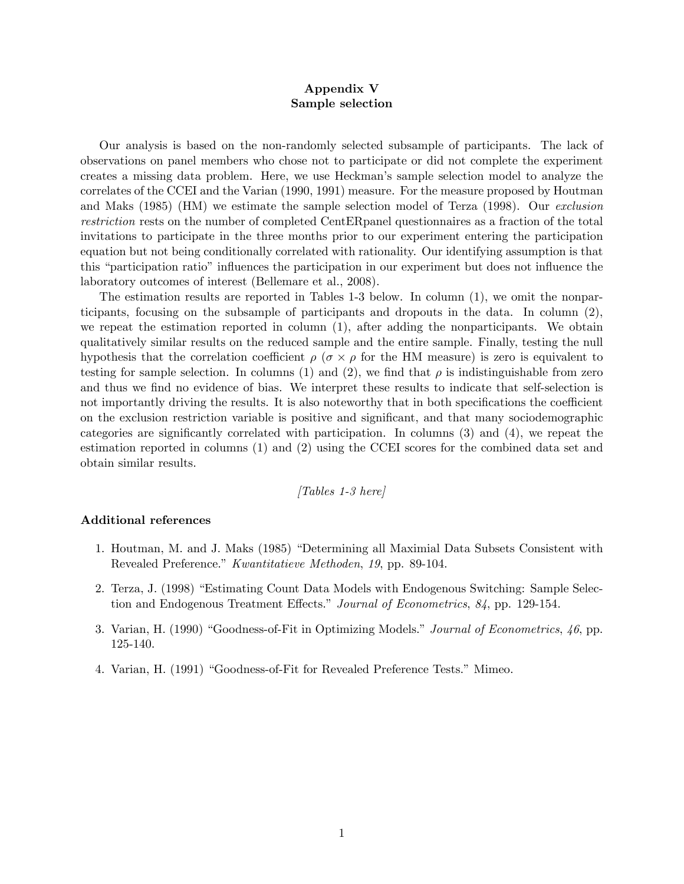## Appendix V Sample selection

Our analysis is based on the non-randomly selected subsample of participants. The lack of observations on panel members who chose not to participate or did not complete the experiment creates a missing data problem. Here, we use Heckmanís sample selection model to analyze the correlates of the CCEI and the Varian (1990, 1991) measure. For the measure proposed by Houtman and Maks (1985) (HM) we estimate the sample selection model of Terza (1998). Our exclusion restriction rests on the number of completed CentERpanel questionnaires as a fraction of the total invitations to participate in the three months prior to our experiment entering the participation equation but not being conditionally correlated with rationality. Our identifying assumption is that this "participation ratio" influences the participation in our experiment but does not influence the laboratory outcomes of interest (Bellemare et al., 2008).

The estimation results are reported in Tables 1-3 below. In column (1), we omit the nonparticipants, focusing on the subsample of participants and dropouts in the data. In column (2), we repeat the estimation reported in column (1), after adding the nonparticipants. We obtain qualitatively similar results on the reduced sample and the entire sample. Finally, testing the null hypothesis that the correlation coefficient  $\rho$  ( $\sigma \times \rho$  for the HM measure) is zero is equivalent to testing for sample selection. In columns (1) and (2), we find that  $\rho$  is indistinguishable from zero and thus we find no evidence of bias. We interpret these results to indicate that self-selection is not importantly driving the results. It is also noteworthy that in both specifications the coefficient on the exclusion restriction variable is positive and significant, and that many sociodemographic categories are significantly correlated with participation. In columns  $(3)$  and  $(4)$ , we repeat the estimation reported in columns (1) and (2) using the CCEI scores for the combined data set and obtain similar results.

$$
[Tables\ 1-3\ here]
$$

## Additional references

- 1. Houtman, M. and J. Maks (1985) "Determining all Maximial Data Subsets Consistent with Revealed Preference." Kwantitatieve Methoden, 19, pp. 89-104.
- 2. Terza, J. (1998) "Estimating Count Data Models with Endogenous Switching: Sample Selection and Endogenous Treatment Effects.<sup>3</sup> Journal of Econometrics,  $84$ , pp. 129-154.
- 3. Varian, H. (1990) "Goodness-of-Fit in Optimizing Models." Journal of Econometrics,  $46$ , pp. 125-140.
- 4. Varian, H. (1991) "Goodness-of-Fit for Revealed Preference Tests." Mimeo.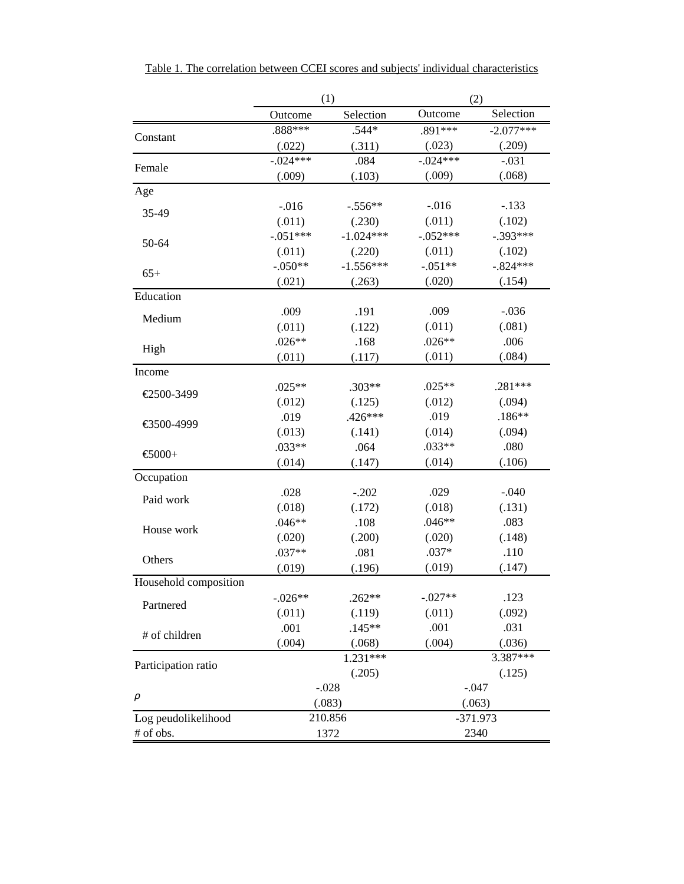|                       | (1)        |             | (2)        |             |  |  |
|-----------------------|------------|-------------|------------|-------------|--|--|
|                       | Outcome    | Selection   | Outcome    | Selection   |  |  |
|                       | .888***    | $.544*$     | .891***    | $-2.077***$ |  |  |
| Constant              | (.022)     | (.311)      | (.023)     | (.209)      |  |  |
|                       | $-.024***$ | .084        | $-.024***$ | $-.031$     |  |  |
| Female                | (.009)     | (.103)      | (.009)     | (.068)      |  |  |
| Age                   |            |             |            |             |  |  |
|                       | $-0.016$   | $-.556**$   | $-0.016$   | $-.133$     |  |  |
| 35-49                 | (.011)     | (.230)      | (.011)     | (.102)      |  |  |
|                       | $-.051***$ | $-1.024***$ | $-.052***$ | $-.393***$  |  |  |
| 50-64                 | (.011)     | (.220)      | (.011)     | (.102)      |  |  |
|                       | $-.050**$  | $-1.556***$ | $-.051**$  | $-.824***$  |  |  |
| $65+$                 | (.021)     | (.263)      | (.020)     | (.154)      |  |  |
| Education             |            |             |            |             |  |  |
| Medium                | .009       | .191        | .009       | $-.036$     |  |  |
|                       | (.011)     | (.122)      | (.011)     | (.081)      |  |  |
|                       | $.026**$   | .168        | $.026**$   | .006        |  |  |
| High                  | (.011)     | (.117)      | (.011)     | (.084)      |  |  |
| Income                |            |             |            |             |  |  |
| €2500-3499            | $.025**$   | $.303**$    | $.025**$   | $.281***$   |  |  |
|                       | (.012)     | (.125)      | (.012)     | (.094)      |  |  |
| €3500-4999            | .019       | $.426***$   | .019       | $.186**$    |  |  |
|                       | (.013)     | (.141)      | (.014)     | (.094)      |  |  |
| $-6000+$              | $.033**$   | .064        | .033**     | .080        |  |  |
|                       | (.014)     | (.147)      | (.014)     | (.106)      |  |  |
| Occupation            |            |             |            |             |  |  |
|                       | .028       | $-.202$     | .029       | $-.040$     |  |  |
| Paid work             | (.018)     | (.172)      | (.018)     | (.131)      |  |  |
| House work            | $.046**$   | .108        | $.046**$   | .083        |  |  |
|                       | (.020)     | (.200)      | (.020)     | (.148)      |  |  |
| Others                | $.037**$   | .081        | $.037*$    | .110        |  |  |
|                       | (.019)     | (.196)      | (.019)     | (.147)      |  |  |
| Household composition |            |             |            |             |  |  |
| Partnered             | $-.026**$  | $.262**$    | $-.027**$  | .123        |  |  |
|                       | (.011)     | (.119)      | (.011)     | (.092)      |  |  |
| # of children         | .001       | $.145**$    | .001       | .031        |  |  |
|                       | (.004)     | (.068)      | (.004)     | (.036)      |  |  |
|                       |            | $1.231***$  |            | 3.387***    |  |  |
| Participation ratio   |            | (.205)      |            | (.125)      |  |  |
|                       |            | $-.028$     |            | $-.047$     |  |  |
| ρ                     |            | (.083)      |            | (.063)      |  |  |
| Log peudolikelihood   |            | 210.856     |            | $-371.973$  |  |  |
| # of obs.             |            | 1372        |            | 2340        |  |  |

| Table 1. The correlation between CCEI scores and subjects' individual characteristics |  |  |  |  |  |  |  |  |
|---------------------------------------------------------------------------------------|--|--|--|--|--|--|--|--|
|---------------------------------------------------------------------------------------|--|--|--|--|--|--|--|--|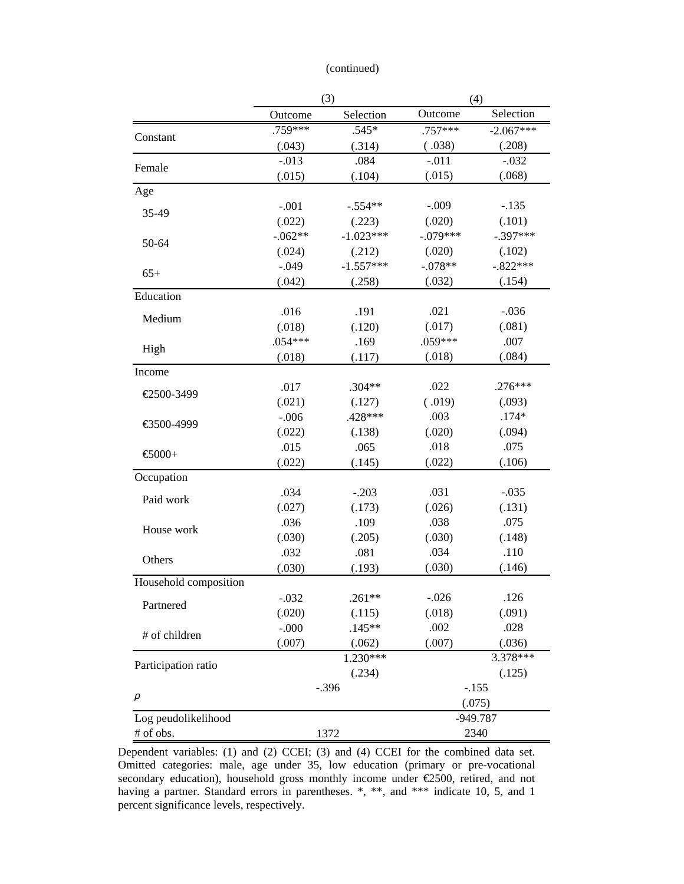| (continued) |  |
|-------------|--|
|             |  |
|             |  |

|                             | (3)          |             | (4)        |             |  |
|-----------------------------|--------------|-------------|------------|-------------|--|
|                             | Outcome      | Selection   | Outcome    | Selection   |  |
|                             | .759***      | $.545*$     | $.757***$  | $-2.067***$ |  |
| Constant                    | (.043)       | (.314)      | (.038)     | (.208)      |  |
| Female                      | $-.013$      | .084        | $-.011$    | $-.032$     |  |
|                             | (.015)       | (.104)      | (.015)     | (.068)      |  |
| Age                         |              |             |            |             |  |
| 35-49                       | $-.001$      | $-.554**$   | $-.009$    | $-.135$     |  |
|                             | (.022)       | (.223)      | (.020)     | (.101)      |  |
|                             | $-.062**$    | $-1.023***$ | $-.079***$ | $-.397***$  |  |
| 50-64                       | (.024)       | (.212)      | (.020)     | (.102)      |  |
| $65+$                       | $-.049$      | $-1.557***$ | $-.078**$  | $-.822***$  |  |
|                             | (.042)       | (.258)      | (.032)     | (.154)      |  |
| Education                   |              |             |            |             |  |
| Medium                      | .016         | .191        | .021       | $-.036$     |  |
|                             | (.018)       | (.120)      | (.017)     | (.081)      |  |
| High                        | $.054***$    | .169        | $.059***$  | .007        |  |
|                             | (.018)       | (.117)      | (.018)     | (.084)      |  |
| Income                      |              |             |            |             |  |
| €2500-3499                  | .017         | $.304**$    | .022       | $.276***$   |  |
|                             | (.021)       | (.127)      | (.019)     | (.093)      |  |
| €3500-4999                  | $-.006$      | .428 ***    | .003       | $.174*$     |  |
|                             | (.022)       | (.138)      | (.020)     | (.094)      |  |
| $\textstyle{\bigoplus}000+$ | .015         | .065        | .018       | .075        |  |
|                             | (.022)       | (.145)      | (.022)     | (.106)      |  |
| Occupation                  |              |             |            |             |  |
| Paid work                   | .034         | $-.203$     | .031       | $-.035$     |  |
|                             | (.027)       | (.173)      | (.026)     | (.131)      |  |
| House work                  | .036         | .109        | .038       | .075        |  |
|                             | (.030)       | (.205)      | (.030)     | (.148)      |  |
| Others                      | .032         | .081        | .034       | .110        |  |
|                             | (.030)       | (.193)      | (.030)     | (.146)      |  |
| Household composition       |              |             |            |             |  |
| Partnered                   | $-.032$      | .261**      | $-.026$    | .126        |  |
|                             | (.020)       | (.115)      | (.018)     | (.091)      |  |
| # of children               | $-.000$      | $.145**$    | .002       | .028        |  |
|                             | (.007)       | (.062)      | (.007)     | (.036)      |  |
| Participation ratio         |              | $1.230***$  |            | 3.378***    |  |
|                             |              | (.234)      |            | (.125)      |  |
|                             |              | $-.396$     |            | $-.155$     |  |
| $\rho$                      |              |             |            | (.075)      |  |
| Log peudolikelihood         |              |             |            | $-949.787$  |  |
| # of obs.                   | 2340<br>1372 |             |            |             |  |

Dependent variables: (1) and (2) CCEI; (3) and (4) CCEI for the combined data set. Omitted categories: male, age under 35, low education (primary or pre-vocational secondary education), household gross monthly income under €2500, retired, and not having a partner. Standard errors in parentheses.  $*,$  \*\*, and \*\*\* indicate 10, 5, and 1 percent significance levels, respectively.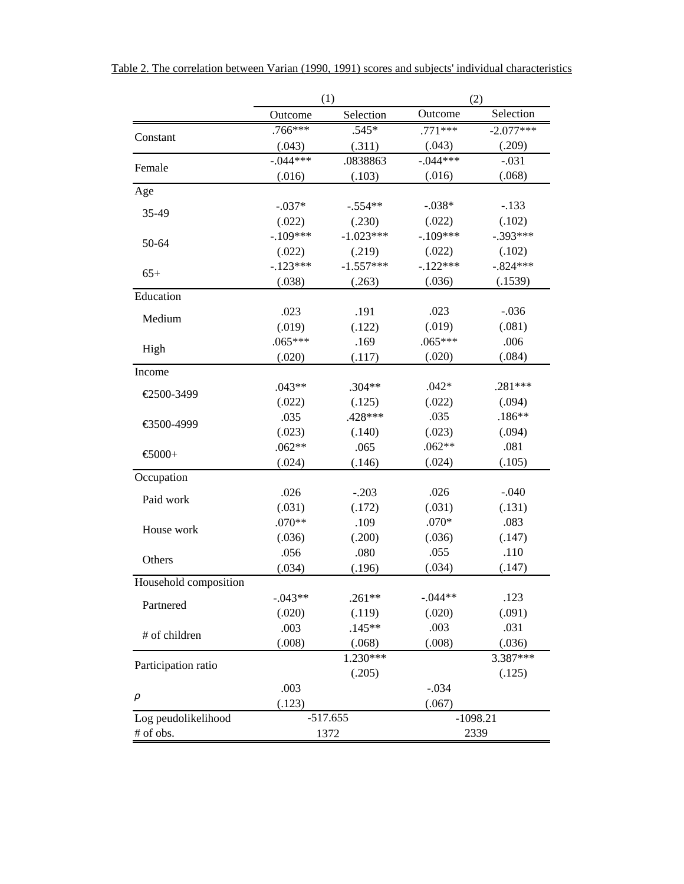|  | Table 2. The correlation between Varian (1990, 1991) scores and subjects' individual characteristics |  |  |  |  |  |
|--|------------------------------------------------------------------------------------------------------|--|--|--|--|--|
|  |                                                                                                      |  |  |  |  |  |

|                       | (1)        |             | (2)         |             |  |
|-----------------------|------------|-------------|-------------|-------------|--|
|                       | Outcome    | Selection   | Outcome     | Selection   |  |
|                       | $.766***$  | $.545*$     | $.771***$   | $-2.077***$ |  |
| Constant              | (.043)     | (.311)      | (.043)      | (.209)      |  |
| Female                | $-.044***$ | .0838863    | $-0.044***$ | $-.031$     |  |
|                       | (.016)     | (.103)      | (.016)      | (.068)      |  |
| Age                   |            |             |             |             |  |
| 35-49                 | $-.037*$   | $-.554**$   | $-.038*$    | $-.133$     |  |
|                       | (.022)     | (.230)      | (.022)      | (.102)      |  |
| 50-64                 | $-.109***$ | $-1.023***$ | $-.109***$  | $-.393***$  |  |
|                       | (.022)     | (.219)      | (.022)      | (.102)      |  |
| $65+$                 | $-.123***$ | $-1.557***$ | $-.122***$  | $-.824***$  |  |
|                       | (.038)     | (.263)      | (.036)      | (.1539)     |  |
| Education             |            |             |             |             |  |
| Medium                | .023       | .191        | .023        | $-.036$     |  |
|                       | (.019)     | (.122)      | (.019)      | (.081)      |  |
|                       | $.065***$  | .169        | $.065***$   | .006        |  |
| High                  | (.020)     | (.117)      | (.020)      | (.084)      |  |
| Income                |            |             |             |             |  |
| €2500-3499            | $.043**$   | $.304**$    | $.042*$     | $.281***$   |  |
|                       | (.022)     | (.125)      | (.022)      | (.094)      |  |
| €3500-4999            | .035       | $.428***$   | .035        | $.186**$    |  |
|                       | (.023)     | (.140)      | (.023)      | (.094)      |  |
| $-6000+$              | $.062**$   | .065        | $.062**$    | .081        |  |
|                       | (.024)     | (.146)      | (.024)      | (.105)      |  |
| Occupation            |            |             |             |             |  |
| Paid work             | .026       | $-.203$     | .026        | $-.040$     |  |
|                       | (.031)     | (.172)      | (.031)      | (.131)      |  |
| House work            | .070**     | .109        | $.070*$     | .083        |  |
|                       | (.036)     | (.200)      | (.036)      | (.147)      |  |
| Others                | .056       | .080        | .055        | .110        |  |
|                       | (.034)     | (.196)      | (.034)      | (.147)      |  |
| Household composition |            |             |             |             |  |
| Partnered             | $-.043**$  | $.261**$    | $-.044**$   | .123        |  |
|                       | (.020)     | (.119)      | (.020)      | (.091)      |  |
| # of children         | .003       | $.145**$    | .003        | .031        |  |
|                       | (.008)     | (.068)      | (.008)      | (.036)      |  |
| Participation ratio   |            | $1.230***$  |             | 3.387***    |  |
|                       |            | (.205)      |             | (.125)      |  |
|                       | .003       |             | $-.034$     |             |  |
| ρ                     | (.123)     |             | (.067)      |             |  |
| Log peudolikelihood   |            | $-517.655$  |             | $-1098.21$  |  |
| # of obs.             |            | 1372        |             | 2339        |  |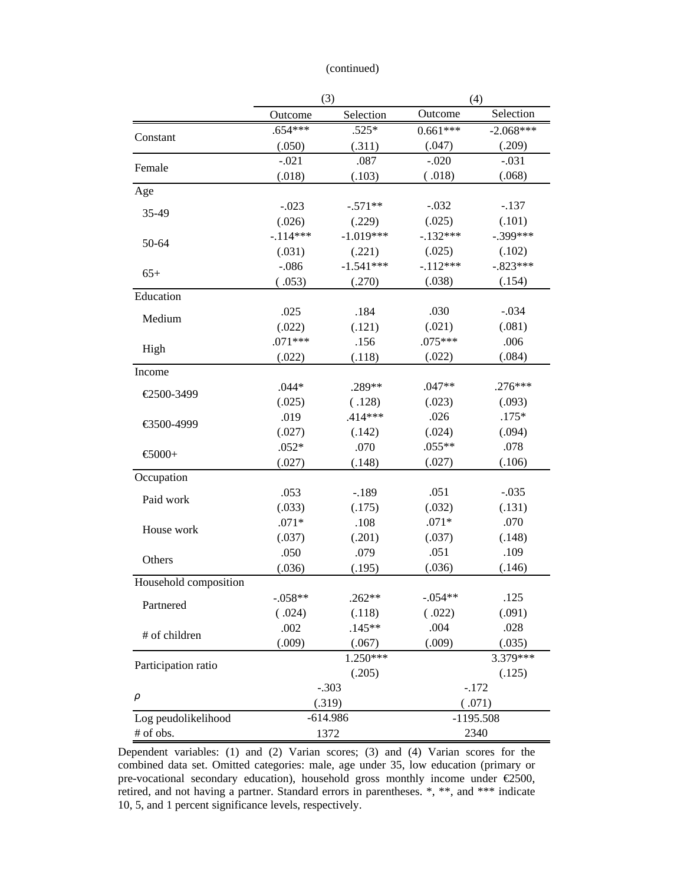| (continued) |  |
|-------------|--|
|             |  |
|             |  |

|                       | (3)        |             | (4)        |             |  |
|-----------------------|------------|-------------|------------|-------------|--|
|                       | Outcome    | Selection   | Outcome    | Selection   |  |
|                       | $.654***$  | $.525*$     | $0.661***$ | $-2.068***$ |  |
| Constant              | (.050)     | (.311)      | (.047)     | (.209)      |  |
| Female                | $-.021$    | .087        | $-.020$    | $-.031$     |  |
|                       | (.018)     | (.103)      | (.018)     | (.068)      |  |
| Age                   |            |             |            |             |  |
| 35-49                 | $-.023$    | $-.571**$   | $-.032$    | $-.137$     |  |
|                       | (.026)     | (.229)      | (.025)     | (.101)      |  |
|                       | $-.114***$ | $-1.019***$ | $-.132***$ | $-.399***$  |  |
| 50-64                 | (.031)     | (.221)      | (.025)     | (.102)      |  |
| $65+$                 | $-.086$    | $-1.541***$ | $-.112***$ | $-.823***$  |  |
|                       | (.053)     | (.270)      | (.038)     | (.154)      |  |
| Education             |            |             |            |             |  |
| Medium                | .025       | .184        | .030       | $-.034$     |  |
|                       | (.022)     | (.121)      | (.021)     | (.081)      |  |
|                       | $.071***$  | .156        | $.075***$  | .006        |  |
| High                  | (.022)     | (.118)      | (.022)     | (.084)      |  |
| Income                |            |             |            |             |  |
| €2500-3499            | $.044*$    | .289**      | .047**     | $.276***$   |  |
|                       | (.025)     | (.128)      | (.023)     | (.093)      |  |
| €3500-4999            | .019       | $.414***$   | .026       | $.175*$     |  |
|                       | (.027)     | (.142)      | (.024)     | (.094)      |  |
| $-6000+$              | $.052*$    | .070        | $.055**$   | .078        |  |
|                       | (.027)     | (.148)      | (.027)     | (.106)      |  |
| Occupation            |            |             |            |             |  |
| Paid work             | .053       | $-.189$     | .051       | $-.035$     |  |
|                       | (.033)     | (.175)      | (.032)     | (.131)      |  |
| House work            | $.071*$    | .108        | $.071*$    | .070        |  |
|                       | (.037)     | (.201)      | (.037)     | (.148)      |  |
| Others                | .050       | .079        | .051       | .109        |  |
|                       | (.036)     | (.195)      | (.036)     | (.146)      |  |
| Household composition |            |             |            |             |  |
| Partnered             | -.058**    | .262**      | $-.054**$  | .125        |  |
|                       | (.024)     | (.118)      | (.022)     | (.091)      |  |
| # of children         | .002       | $.145**$    | .004       | .028        |  |
|                       | (.009)     | (.067)      | (.009)     | (.035)      |  |
| Participation ratio   |            | $1.250***$  |            | 3.379***    |  |
|                       |            | (.205)      |            | (.125)      |  |
|                       |            | $-.303$     |            | $-.172$     |  |
| ρ                     |            | (.319)      |            | (.071)      |  |
| Log peudolikelihood   |            | $-614.986$  |            | $-1195.508$ |  |
| # of obs.             |            | 1372        |            | 2340        |  |

Dependent variables: (1) and (2) Varian scores; (3) and (4) Varian scores for the combined data set. Omitted categories: male, age under 35, low education (primary or pre-vocational secondary education), household gross monthly income under €2500, retired, and not having a partner. Standard errors in parentheses. \*, \*\*, and \*\*\* indicate 10, 5, and 1 percent significance levels, respectively.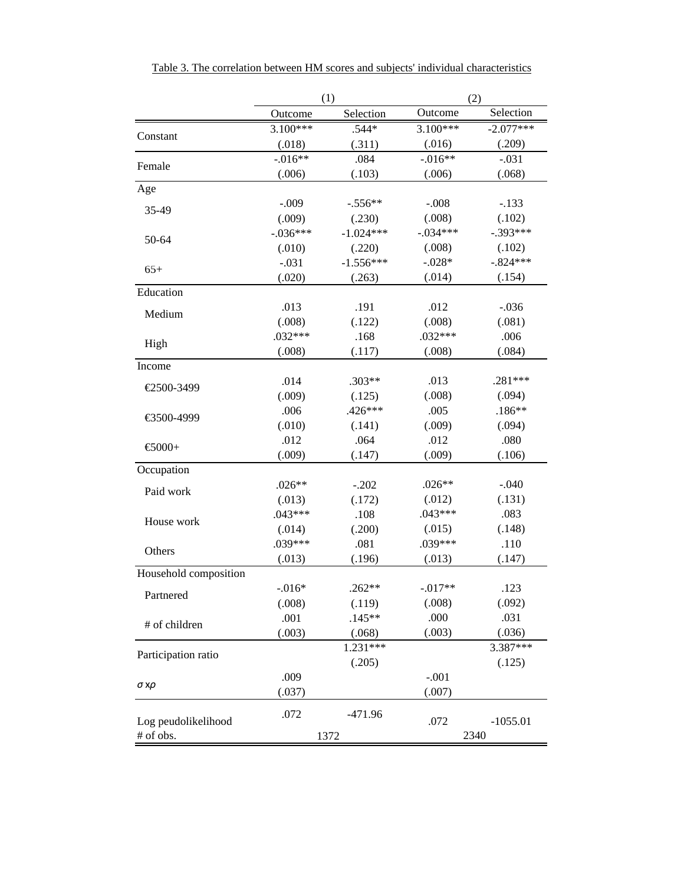|                       | (1)        |             | (2)        |             |  |
|-----------------------|------------|-------------|------------|-------------|--|
|                       | Outcome    | Selection   | Outcome    | Selection   |  |
|                       | $3.100***$ | $.544*$     | $3.100***$ | $-2.077***$ |  |
| Constant              | (.018)     | (.311)      | (.016)     | (.209)      |  |
|                       | $-0.016**$ | .084        | $-.016**$  | $-.031$     |  |
| Female                | (.006)     | (.103)      | (.006)     | (.068)      |  |
| Age                   |            |             |            |             |  |
| 35-49                 | $-.009$    | $-.556**$   | $-.008$    | $-.133$     |  |
|                       | (.009)     | (.230)      | (.008)     | (.102)      |  |
|                       | $-.036***$ | $-1.024***$ | $-.034***$ | $-.393***$  |  |
| 50-64                 | (.010)     | (.220)      | (.008)     | (.102)      |  |
|                       | $-.031$    | $-1.556***$ | $-.028*$   | $-.824***$  |  |
| $65+$                 | (.020)     | (.263)      | (.014)     | (.154)      |  |
| Education             |            |             |            |             |  |
| Medium                | .013       | .191        | .012       | $-.036$     |  |
|                       | (.008)     | (.122)      | (.008)     | (.081)      |  |
|                       | $.032***$  | .168        | $.032***$  | .006        |  |
| High                  | (.008)     | (.117)      | (.008)     | (.084)      |  |
| Income                |            |             |            |             |  |
| €2500-3499            | .014       | $.303**$    | .013       | $.281***$   |  |
|                       | (.009)     | (.125)      | (.008)     | (.094)      |  |
| €3500-4999            | .006       | $.426***$   | .005       | $.186**$    |  |
|                       | (.010)     | (.141)      | (.009)     | (.094)      |  |
|                       | .012       | .064        | .012       | .080        |  |
| $-6000+$              | (.009)     | (.147)      | (.009)     | (.106)      |  |
| Occupation            |            |             |            |             |  |
|                       | $.026**$   | $-.202$     | $.026**$   | $-.040$     |  |
| Paid work             | (.013)     | (.172)      | (.012)     | (.131)      |  |
|                       | $.043***$  | .108        | $.043***$  | .083        |  |
| House work            | (.014)     | (.200)      | (.015)     | (.148)      |  |
|                       | $.039***$  | .081        | .039***    | .110        |  |
| Others                | (.013)     | (.196)      | (.013)     | (.147)      |  |
| Household composition |            |             |            |             |  |
|                       | $-.016*$   | $.262**$    | $-.017**$  | .123        |  |
| Partnered             | (.008)     | (.119)      | (.008)     | (.092)      |  |
|                       | .001       | $.145**$    | .000       | .031        |  |
| # of children         | (.003)     | (.068)      | (.003)     | (.036)      |  |
|                       |            | $1.231***$  |            | 3.387***    |  |
| Participation ratio   |            | (.205)      |            | (.125)      |  |
|                       | .009       |             | $-.001$    |             |  |
| σχρ                   | (.037)     |             | (.007)     |             |  |
|                       |            |             |            |             |  |
| Log peudolikelihood   | .072       | $-471.96$   | .072       | $-1055.01$  |  |
| # of obs.             |            | 1372        |            | 2340        |  |

Table 3. The correlation between HM scores and subjects' individual characteristics